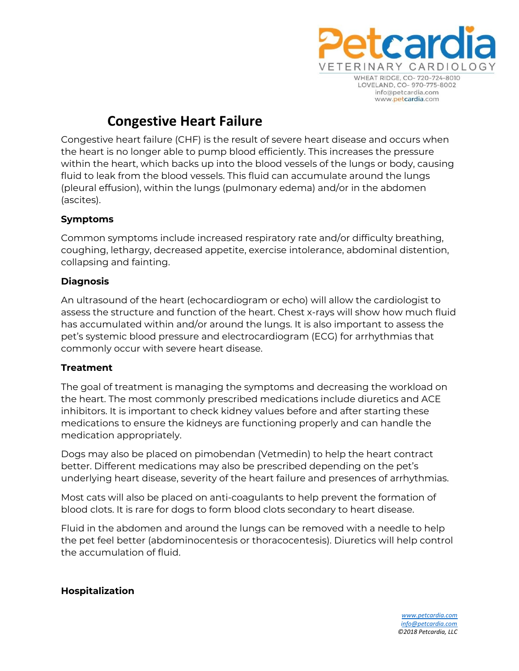

# **Congestive Heart Failure**

Congestive heart failure (CHF) is the result of severe heart disease and occurs when the heart is no longer able to pump blood efficiently. This increases the pressure within the heart, which backs up into the blood vessels of the lungs or body, causing fluid to leak from the blood vessels. This fluid can accumulate around the lungs (pleural effusion), within the lungs (pulmonary edema) and/or in the abdomen (ascites).

## **Symptoms**

Common symptoms include increased respiratory rate and/or difficulty breathing, coughing, lethargy, decreased appetite, exercise intolerance, abdominal distention, collapsing and fainting.

## **Diagnosis**

An ultrasound of the heart (echocardiogram or echo) will allow the cardiologist to assess the structure and function of the heart. Chest x-rays will show how much fluid has accumulated within and/or around the lungs. It is also important to assess the pet's systemic blood pressure and electrocardiogram (ECG) for arrhythmias that commonly occur with severe heart disease.

## **Treatment**

The goal of treatment is managing the symptoms and decreasing the workload on the heart. The most commonly prescribed medications include diuretics and ACE inhibitors. It is important to check kidney values before and after starting these medications to ensure the kidneys are functioning properly and can handle the medication appropriately.

Dogs may also be placed on pimobendan (Vetmedin) to help the heart contract better. Different medications may also be prescribed depending on the pet's underlying heart disease, severity of the heart failure and presences of arrhythmias.

Most cats will also be placed on anti-coagulants to help prevent the formation of blood clots. It is rare for dogs to form blood clots secondary to heart disease.

Fluid in the abdomen and around the lungs can be removed with a needle to help the pet feel better (abdominocentesis or thoracocentesis). Diuretics will help control the accumulation of fluid.

### **Hospitalization**